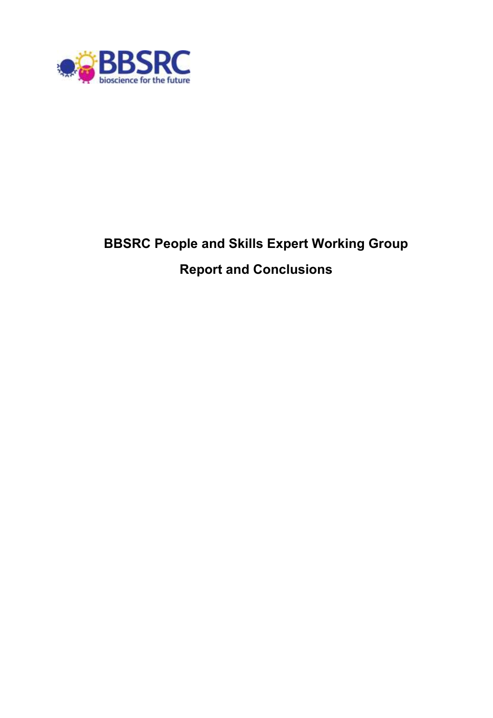

# **BBSRC People and Skills Expert Working Group Report and Conclusions**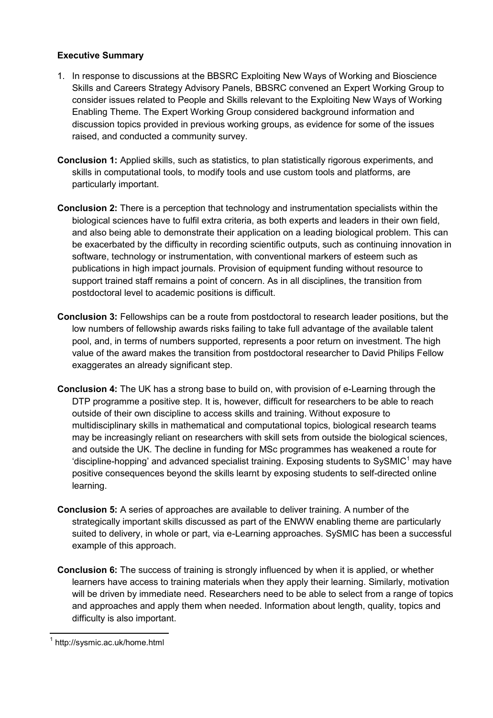#### **Executive Summary**

- 1. In response to discussions at the BBSRC Exploiting New Ways of Working and Bioscience Skills and Careers Strategy Advisory Panels, BBSRC convened an Expert Working Group to consider issues related to People and Skills relevant to the Exploiting New Ways of Working Enabling Theme. The Expert Working Group considered background information and discussion topics provided in previous working groups, as evidence for some of the issues raised, and conducted a community survey.
- **Conclusion 1:** Applied skills, such as statistics, to plan statistically rigorous experiments, and skills in computational tools, to modify tools and use custom tools and platforms, are particularly important.
- **Conclusion 2:** There is a perception that technology and instrumentation specialists within the biological sciences have to fulfil extra criteria, as both experts and leaders in their own field, and also being able to demonstrate their application on a leading biological problem. This can be exacerbated by the difficulty in recording scientific outputs, such as continuing innovation in software, technology or instrumentation, with conventional markers of esteem such as publications in high impact journals. Provision of equipment funding without resource to support trained staff remains a point of concern. As in all disciplines, the transition from postdoctoral level to academic positions is difficult.
- **Conclusion 3:** Fellowships can be a route from postdoctoral to research leader positions, but the low numbers of fellowship awards risks failing to take full advantage of the available talent pool, and, in terms of numbers supported, represents a poor return on investment. The high value of the award makes the transition from postdoctoral researcher to David Philips Fellow exaggerates an already significant step.
- **Conclusion 4:** The UK has a strong base to build on, with provision of e-Learning through the DTP programme a positive step. It is, however, difficult for researchers to be able to reach outside of their own discipline to access skills and training. Without exposure to multidisciplinary skills in mathematical and computational topics, biological research teams may be increasingly reliant on researchers with skill sets from outside the biological sciences, and outside the UK. The decline in funding for MSc programmes has weakened a route for 'discipline-hopping' and advanced specialist training. Exposing students to SySMIC<sup>1</sup> may have positive consequences beyond the skills learnt by exposing students to self-directed online learning.
- **Conclusion 5:** A series of approaches are available to deliver training. A number of the strategically important skills discussed as part of the ENWW enabling theme are particularly suited to delivery, in whole or part, via e-Learning approaches. SySMIC has been a successful example of this approach.
- **Conclusion 6:** The success of training is strongly influenced by when it is applied, or whether learners have access to training materials when they apply their learning. Similarly, motivation will be driven by immediate need. Researchers need to be able to select from a range of topics and approaches and apply them when needed. Information about length, quality, topics and difficulty is also important.

 1 http://sysmic.ac.uk/home.html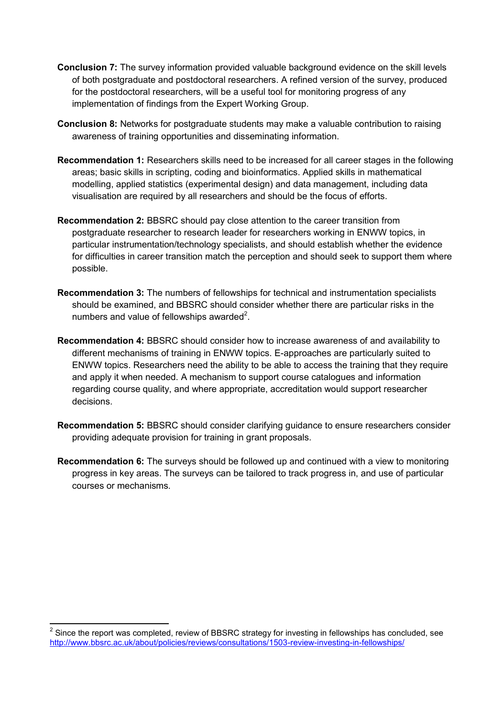- **Conclusion 7:** The survey information provided valuable background evidence on the skill levels of both postgraduate and postdoctoral researchers. A refined version of the survey, produced for the postdoctoral researchers, will be a useful tool for monitoring progress of any implementation of findings from the Expert Working Group.
- **Conclusion 8:** Networks for postgraduate students may make a valuable contribution to raising awareness of training opportunities and disseminating information.
- **Recommendation 1:** Researchers skills need to be increased for all career stages in the following areas; basic skills in scripting, coding and bioinformatics. Applied skills in mathematical modelling, applied statistics (experimental design) and data management, including data visualisation are required by all researchers and should be the focus of efforts.
- **Recommendation 2:** BBSRC should pay close attention to the career transition from postgraduate researcher to research leader for researchers working in ENWW topics, in particular instrumentation/technology specialists, and should establish whether the evidence for difficulties in career transition match the perception and should seek to support them where possible.
- **Recommendation 3:** The numbers of fellowships for technical and instrumentation specialists should be examined, and BBSRC should consider whether there are particular risks in the numbers and value of fellowships awarded $2$ .
- **Recommendation 4:** BBSRC should consider how to increase awareness of and availability to different mechanisms of training in ENWW topics. E-approaches are particularly suited to ENWW topics. Researchers need the ability to be able to access the training that they require and apply it when needed. A mechanism to support course catalogues and information regarding course quality, and where appropriate, accreditation would support researcher decisions.
- **Recommendation 5:** BBSRC should consider clarifying guidance to ensure researchers consider providing adequate provision for training in grant proposals.
- **Recommendation 6:** The surveys should be followed up and continued with a view to monitoring progress in key areas. The surveys can be tailored to track progress in, and use of particular courses or mechanisms.

 $\overline{\phantom{a}}$ 

 $2$  Since the report was completed, review of BBSRC strategy for investing in fellowships has concluded, see <http://www.bbsrc.ac.uk/about/policies/reviews/consultations/1503-review-investing-in-fellowships/>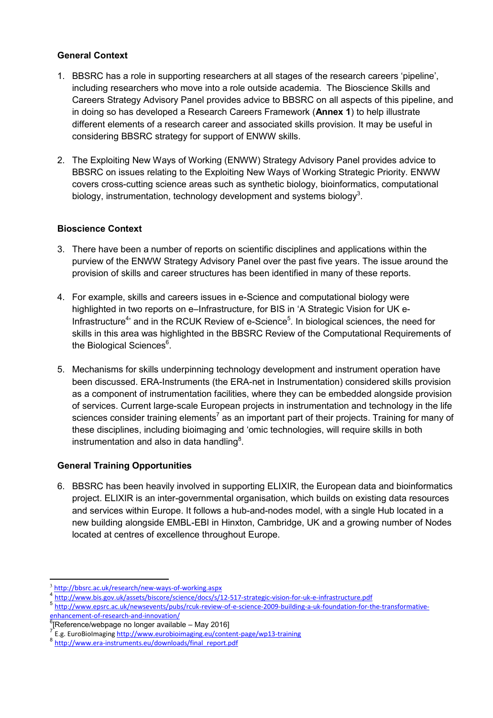#### **General Context**

- 1. BBSRC has a role in supporting researchers at all stages of the research careers 'pipeline', including researchers who move into a role outside academia. The Bioscience Skills and Careers Strategy Advisory Panel provides advice to BBSRC on all aspects of this pipeline, and in doing so has developed a Research Careers Framework (**Annex 1**) to help illustrate different elements of a research career and associated skills provision. It may be useful in considering BBSRC strategy for support of ENWW skills.
- 2. The Exploiting New Ways of Working (ENWW) Strategy Advisory Panel provides advice to BBSRC on issues relating to the Exploiting New Ways of Working Strategic Priority. ENWW covers cross-cutting science areas such as synthetic biology, bioinformatics, computational biology, instrumentation, technology development and systems biology<sup>3</sup>.

#### **Bioscience Context**

- 3. There have been a number of reports on scientific disciplines and applications within the purview of the ENWW Strategy Advisory Panel over the past five years. The issue around the provision of skills and career structures has been identified in many of these reports.
- 4. For example, skills and careers issues in e-Science and computational biology were highlighted in two reports on e–Infrastructure, for BIS in 'A Strategic Vision for UK e-Infrastructure<sup>4</sup>' and in the RCUK Review of e-Science<sup>5</sup>. In biological sciences, the need for skills in this area was highlighted in the BBSRC Review of the Computational Requirements of the Biological Sciences<sup>6</sup>.
- 5. Mechanisms for skills underpinning technology development and instrument operation have been discussed. ERA-Instruments (the ERA-net in Instrumentation) considered skills provision as a component of instrumentation facilities, where they can be embedded alongside provision of services. Current large-scale European projects in instrumentation and technology in the life sciences consider training elements<sup>7</sup> as an important part of their projects. Training for many of these disciplines, including bioimaging and 'omic technologies, will require skills in both instrumentation and also in data handling $8$ .

# **General Training Opportunities**

6. BBSRC has been heavily involved in supporting ELIXIR, the European data and bioinformatics project. ELIXIR is an inter-governmental organisation, which builds on existing data resources and services within Europe. It follows a hub-and-nodes model, with a single Hub located in a new building alongside EMBL-EBI in Hinxton, Cambridge, UK and a growing number of Nodes located at centres of excellence throughout Europe.

<sup>&</sup>lt;sup>3</sup> <http://bbsrc.ac.uk/research/new-ways-of-working.aspx>

<sup>4</sup> <http://www.bis.gov.uk/assets/biscore/science/docs/s/12-517-strategic-vision-for-uk-e-infrastructure.pdf>

<sup>5</sup> [http://www.epsrc.ac.uk/newsevents/pubs/rcuk-review-of-e-science-2009-building-a-uk-foundation-for-the-transformative-](http://www.epsrc.ac.uk/newsevents/pubs/rcuk-review-of-e-science-2009-building-a-uk-foundation-for-the-transformative-enhancement-of-research-and-innovation/)

[enhancement-of-research-and-innovation/](http://www.epsrc.ac.uk/newsevents/pubs/rcuk-review-of-e-science-2009-building-a-uk-foundation-for-the-transformative-enhancement-of-research-and-innovation/)

<sup>&</sup>lt;sup>6</sup>[Reference/webpage no longer available – May 2016]<br><sup>7</sup> F.e. FureBielmesins http://www.eurabielmesins.eu/sent

E.g. EuroBioImagin[g http://www.eurobioimaging.eu/content-page/wp13-training](http://www.eurobioimaging.eu/content-page/wp13-training)

<sup>&</sup>lt;sup>8</sup> [http://www.era-instruments.eu/downloads/final\\_report.pdf](http://www.era-instruments.eu/downloads/final_report.pdf)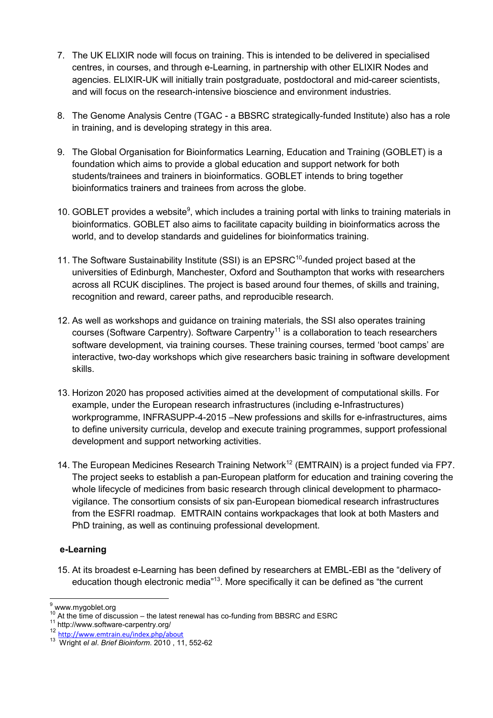- 7. The UK ELIXIR node will focus on training. This is intended to be delivered in specialised centres, in courses, and through e-Learning, in partnership with other ELIXIR Nodes and agencies. ELIXIR-UK will initially train postgraduate, postdoctoral and mid-career scientists, and will focus on the research-intensive bioscience and environment industries.
- 8. The Genome Analysis Centre (TGAC a BBSRC strategically-funded Institute) also has a role in training, and is developing strategy in this area.
- 9. The Global Organisation for Bioinformatics Learning, Education and Training (GOBLET) is a foundation which aims to provide a global education and support network for both students/trainees and trainers in bioinformatics. GOBLET intends to bring together bioinformatics trainers and trainees from across the globe.
- 10. GOBLET provides a website<sup>9</sup>, which includes a training portal with links to training materials in bioinformatics. GOBLET also aims to facilitate capacity building in bioinformatics across the world, and to develop standards and guidelines for bioinformatics training.
- 11. The Software Sustainability Institute (SSI) is an EPSRC<sup>10</sup>-funded project based at the universities of Edinburgh, Manchester, Oxford and Southampton that works with researchers across all RCUK disciplines. The project is based around four themes, of skills and training, recognition and reward, career paths, and reproducible research.
- 12. As well as workshops and guidance on training materials, the SSI also operates training courses (Software Carpentry). Software Carpentry<sup>11</sup> is a collaboration to teach researchers software development, via training courses. These training courses, termed 'boot camps' are interactive, two-day workshops which give researchers basic training in software development skills.
- 13. Horizon 2020 has proposed activities aimed at the development of computational skills. For example, under the European research infrastructures (including e-Infrastructures) workprogramme, INFRASUPP-4-2015 –New professions and skills for e-infrastructures, aims to define university curricula, develop and execute training programmes, support professional development and support networking activities.
- 14. The European Medicines Research Training Network<sup>12</sup> (EMTRAIN) is a project funded via FP7. The project seeks to establish a pan-European platform for education and training covering the whole lifecycle of medicines from basic research through clinical development to pharmacovigilance. The consortium consists of six pan-European biomedical research infrastructures from the ESFRI roadmap. EMTRAIN contains workpackages that look at both Masters and PhD training, as well as continuing professional development.

#### **e-Learning**

15. At its broadest e-Learning has been defined by researchers at EMBL-EBI as the "delivery of education though electronic media<sup>"13</sup>. More specifically it can be defined as "the current

<sup>9</sup> www.mygoblet.org

At the time of discussion – the latest renewal has co-funding from BBSRC and ESRC

<sup>11</sup> http://www.software-carpentry.org/

<sup>12</sup> <http://www.emtrain.eu/index.php/about>

<sup>13</sup> Wright *el al*. *Brief Bioinform*. 2010 , 11, 552-62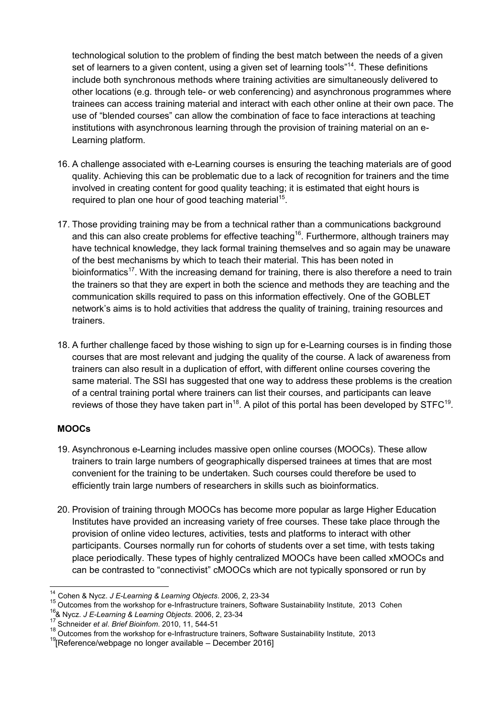technological solution to the problem of finding the best match between the needs of a given set of learners to a given content, using a given set of learning tools"<sup>14</sup>. These definitions include both synchronous methods where training activities are simultaneously delivered to other locations (e.g. through tele- or web conferencing) and asynchronous programmes where trainees can access training material and interact with each other online at their own pace. The use of "blended courses" can allow the combination of face to face interactions at teaching institutions with asynchronous learning through the provision of training material on an e-Learning platform.

- 16. A challenge associated with e-Learning courses is ensuring the teaching materials are of good quality. Achieving this can be problematic due to a lack of recognition for trainers and the time involved in creating content for good quality teaching; it is estimated that eight hours is required to plan one hour of good teaching material<sup>15</sup>.
- 17. Those providing training may be from a technical rather than a communications background and this can also create problems for effective teaching<sup>16</sup>. Furthermore, although trainers may have technical knowledge, they lack formal training themselves and so again may be unaware of the best mechanisms by which to teach their material. This has been noted in bioinformatics<sup>17</sup>. With the increasing demand for training, there is also therefore a need to train the trainers so that they are expert in both the science and methods they are teaching and the communication skills required to pass on this information effectively. One of the GOBLET network's aims is to hold activities that address the quality of training, training resources and trainers.
- 18. A further challenge faced by those wishing to sign up for e-Learning courses is in finding those courses that are most relevant and judging the quality of the course. A lack of awareness from trainers can also result in a duplication of effort, with different online courses covering the same material. The SSI has suggested that one way to address these problems is the creation of a central training portal where trainers can list their courses, and participants can leave reviews of those they have taken part in<sup>18</sup>. A pilot of this portal has been developed by STFC<sup>19</sup>.

# **MOOCs**

- 19. Asynchronous e-Learning includes massive open online courses (MOOCs). These allow trainers to train large numbers of geographically dispersed trainees at times that are most convenient for the training to be undertaken. Such courses could therefore be used to efficiently train large numbers of researchers in skills such as bioinformatics.
- 20. Provision of training through MOOCs has become more popular as large Higher Education Institutes have provided an increasing variety of free courses. These take place through the provision of online video lectures, activities, tests and platforms to interact with other participants. Courses normally run for cohorts of students over a set time, with tests taking place periodically. These types of highly centralized MOOCs have been called xMOOCs and can be contrasted to "connectivist" cMOOCs which are not typically sponsored or run by

<sup>14</sup> Cohen & Nycz. *J E-Learning & Learning Objects*. 2006, 2, 23-34

<sup>&</sup>lt;sup>15</sup> Outcomes from the workshop for e-Infrastructure trainers, Software Sustainability Institute, 2013 Cohen

<sup>16</sup> 17 & Nycz. *J E-Learning & Learning Objects*. 2006, 2, 23-34

Schneider *et al*. *Brief Bioinfom*. 2010, 11, 544-51

 $\frac{18}{18}$  Outcomes from the workshop for e-Infrastructure trainers, Software Sustainability Institute, 2013

<sup>&</sup>lt;sup>19</sup> [Reference/webpage no longer available - December 2016]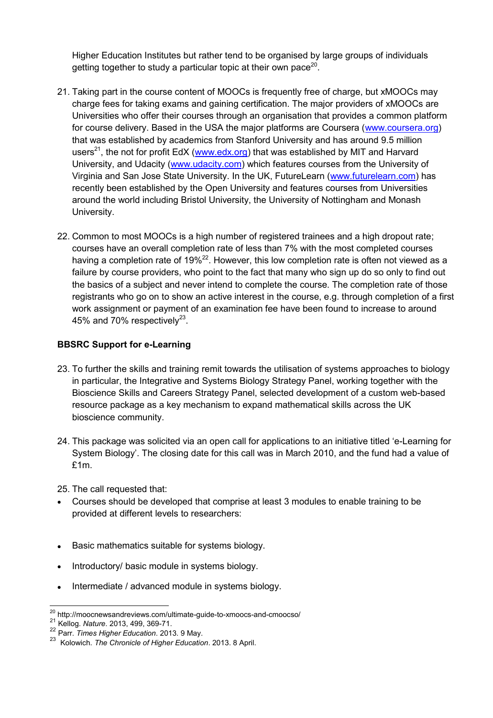Higher Education Institutes but rather tend to be organised by large groups of individuals getting together to study a particular topic at their own pace<sup>20</sup>.

- 21. Taking part in the course content of MOOCs is frequently free of charge, but xMOOCs may charge fees for taking exams and gaining certification. The major providers of xMOOCs are Universities who offer their courses through an organisation that provides a common platform for course delivery. Based in the USA the major platforms are Coursera [\(www.coursera.org\)](http://www.coursera.org/) that was established by academics from Stanford University and has around 9.5 million users<sup>21</sup>, the not for profit EdX [\(www.edx.org\)](http://www.edx.org/) that was established by MIT and Harvard University, and Udacity [\(www.udacity.com\)](http://www.udacity.com/) which features courses from the University of Virginia and San Jose State University. In the UK, FutureLearn [\(www.futurelearn.com\)](http://www.futurelearn.com/) has recently been established by the Open University and features courses from Universities around the world including Bristol University, the University of Nottingham and Monash University.
- 22. Common to most MOOCs is a high number of registered trainees and a high dropout rate; courses have an overall completion rate of less than 7% with the most completed courses having a completion rate of  $19\%^{22}$ . However, this low completion rate is often not viewed as a failure by course providers, who point to the fact that many who sign up do so only to find out the basics of a subject and never intend to complete the course. The completion rate of those registrants who go on to show an active interest in the course, e.g. through completion of a first work assignment or payment of an examination fee have been found to increase to around 45% and 70% respectively<sup>23</sup>.

#### **BBSRC Support for e-Learning**

- 23. To further the skills and training remit towards the utilisation of systems approaches to biology in particular, the Integrative and Systems Biology Strategy Panel, working together with the Bioscience Skills and Careers Strategy Panel, selected development of a custom web-based resource package as a key mechanism to expand mathematical skills across the UK bioscience community.
- 24. This package was solicited via an open call for applications to an initiative titled 'e-Learning for System Biology'. The closing date for this call was in March 2010, and the fund had a value of £1m.

25. The call requested that:

- Courses should be developed that comprise at least 3 modules to enable training to be provided at different levels to researchers:
- Basic mathematics suitable for systems biology.
- Introductory/ basic module in systems biology.
- Intermediate / advanced module in systems biology.

 $\overline{a}$  $\frac{20}{10}$  http://moocnewsandreviews.com/ultimate-guide-to-xmoocs-and-cmoocso/

<sup>21</sup> Kellog. *Nature*. 2013, 499, 369-71.

<sup>22</sup> Parr. *Times Higher Education*. 2013. 9 May.

<sup>23</sup> Kolowich. *The Chronicle of Higher Education*. 2013. 8 April.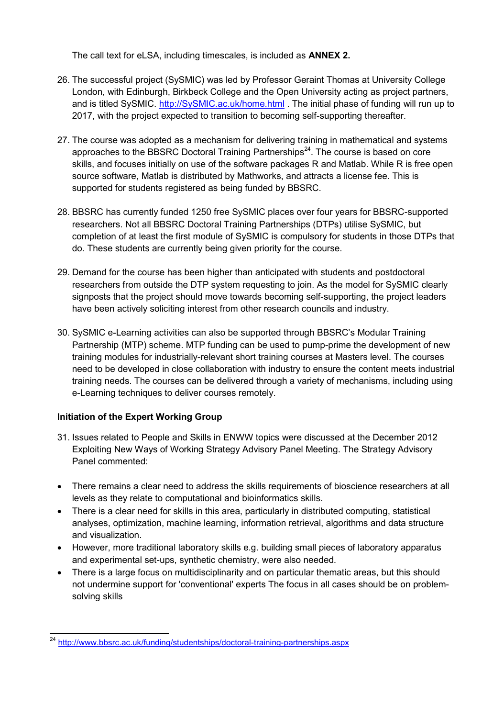The call text for eLSA, including timescales, is included as **ANNEX 2.**

- 26. The successful project (SySMIC) was led by Professor Geraint Thomas at University College London, with Edinburgh, Birkbeck College and the Open University acting as project partners, and is titled SySMIC. [http://SySMIC.ac.uk/home.html](http://sysmic.ac.uk/home.html) . The initial phase of funding will run up to 2017, with the project expected to transition to becoming self-supporting thereafter.
- 27. The course was adopted as a mechanism for delivering training in mathematical and systems approaches to the BBSRC Doctoral Training Partnerships<sup>24</sup>. The course is based on core skills, and focuses initially on use of the software packages R and Matlab. While R is free open source software, Matlab is distributed by Mathworks, and attracts a license fee. This is supported for students registered as being funded by BBSRC.
- 28. BBSRC has currently funded 1250 free SySMIC places over four years for BBSRC-supported researchers. Not all BBSRC Doctoral Training Partnerships (DTPs) utilise SySMIC, but completion of at least the first module of SySMIC is compulsory for students in those DTPs that do. These students are currently being given priority for the course.
- 29. Demand for the course has been higher than anticipated with students and postdoctoral researchers from outside the DTP system requesting to join. As the model for SySMIC clearly signposts that the project should move towards becoming self-supporting, the project leaders have been actively soliciting interest from other research councils and industry.
- 30. SySMIC e-Learning activities can also be supported through BBSRC's Modular Training Partnership (MTP) scheme. MTP funding can be used to pump-prime the development of new training modules for industrially-relevant short training courses at Masters level. The courses need to be developed in close collaboration with industry to ensure the content meets industrial training needs. The courses can be delivered through a variety of mechanisms, including using e-Learning techniques to deliver courses remotely.

# **Initiation of the Expert Working Group**

- 31. Issues related to People and Skills in ENWW topics were discussed at the December 2012 Exploiting New Ways of Working Strategy Advisory Panel Meeting. The Strategy Advisory Panel commented:
- There remains a clear need to address the skills requirements of bioscience researchers at all levels as they relate to computational and bioinformatics skills.
- There is a clear need for skills in this area, particularly in distributed computing, statistical analyses, optimization, machine learning, information retrieval, algorithms and data structure and visualization.
- However, more traditional laboratory skills e.g. building small pieces of laboratory apparatus and experimental set-ups, synthetic chemistry, were also needed.
- There is a large focus on multidisciplinarity and on particular thematic areas, but this should not undermine support for 'conventional' experts The focus in all cases should be on problemsolving skills

 $\overline{a}$ <sup>24</sup> http://www.bbsrc.ac.uk/funding/studentships/doctoral-training-partnerships.aspx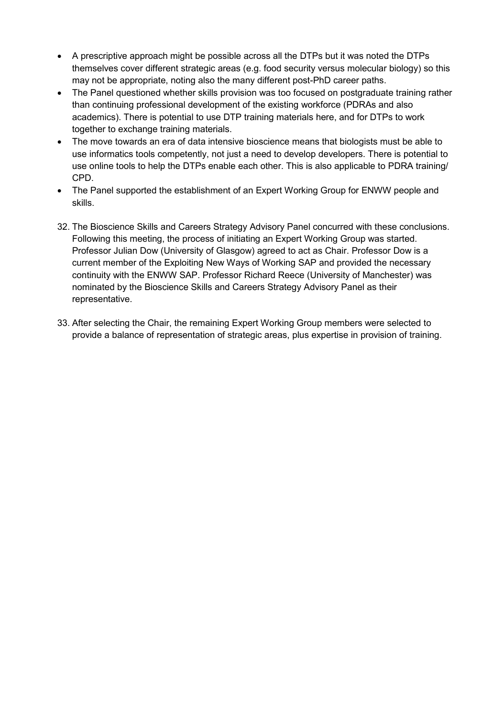- A prescriptive approach might be possible across all the DTPs but it was noted the DTPs themselves cover different strategic areas (e.g. food security versus molecular biology) so this may not be appropriate, noting also the many different post-PhD career paths.
- The Panel questioned whether skills provision was too focused on postgraduate training rather than continuing professional development of the existing workforce (PDRAs and also academics). There is potential to use DTP training materials here, and for DTPs to work together to exchange training materials.
- The move towards an era of data intensive bioscience means that biologists must be able to use informatics tools competently, not just a need to develop developers. There is potential to use online tools to help the DTPs enable each other. This is also applicable to PDRA training/ CPD.
- The Panel supported the establishment of an Expert Working Group for ENWW people and skills.
- 32. The Bioscience Skills and Careers Strategy Advisory Panel concurred with these conclusions. Following this meeting, the process of initiating an Expert Working Group was started. Professor Julian Dow (University of Glasgow) agreed to act as Chair. Professor Dow is a current member of the Exploiting New Ways of Working SAP and provided the necessary continuity with the ENWW SAP. Professor Richard Reece (University of Manchester) was nominated by the Bioscience Skills and Careers Strategy Advisory Panel as their representative.
- 33. After selecting the Chair, the remaining Expert Working Group members were selected to provide a balance of representation of strategic areas, plus expertise in provision of training.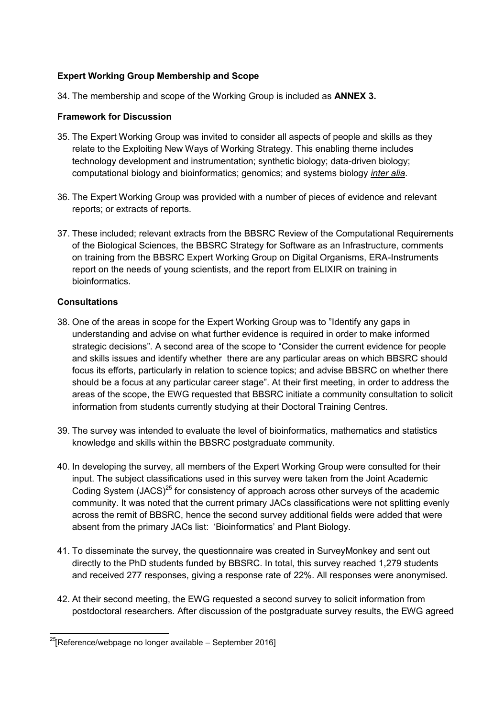## **Expert Working Group Membership and Scope**

34. The membership and scope of the Working Group is included as **ANNEX 3.**

#### **Framework for Discussion**

- 35. The Expert Working Group was invited to consider all aspects of people and skills as they relate to the Exploiting New Ways of Working Strategy. This enabling theme includes technology development and instrumentation; synthetic biology; data-driven biology; computational biology and bioinformatics; genomics; and systems biology *inter alia*.
- 36. The Expert Working Group was provided with a number of pieces of evidence and relevant reports; or extracts of reports.
- 37. These included; relevant extracts from the BBSRC Review of the Computational Requirements of the Biological Sciences, the BBSRC Strategy for Software as an Infrastructure, comments on training from the BBSRC Expert Working Group on Digital Organisms, ERA-Instruments report on the needs of young scientists, and the report from ELIXIR on training in bioinformatics.

#### **Consultations**

- 38. One of the areas in scope for the Expert Working Group was to "Identify any gaps in understanding and advise on what further evidence is required in order to make informed strategic decisions". A second area of the scope to "Consider the current evidence for people and skills issues and identify whether there are any particular areas on which BBSRC should focus its efforts, particularly in relation to science topics; and advise BBSRC on whether there should be a focus at any particular career stage". At their first meeting, in order to address the areas of the scope, the EWG requested that BBSRC initiate a community consultation to solicit information from students currently studying at their Doctoral Training Centres.
- 39. The survey was intended to evaluate the level of bioinformatics, mathematics and statistics knowledge and skills within the BBSRC postgraduate community.
- 40. In developing the survey, all members of the Expert Working Group were consulted for their input. The subject classifications used in this survey were taken from the Joint Academic Coding System (JACS)<sup>25</sup> for consistency of approach across other surveys of the academic community. It was noted that the current primary JACs classifications were not splitting evenly across the remit of BBSRC, hence the second survey additional fields were added that were absent from the primary JACs list: 'Bioinformatics' and Plant Biology.
- 41. To disseminate the survey, the questionnaire was created in SurveyMonkey and sent out directly to the PhD students funded by BBSRC. In total, this survey reached 1,279 students and received 277 responses, giving a response rate of 22%. All responses were anonymised.
- 42. At their second meeting, the EWG requested a second survey to solicit information from postdoctoral researchers. After discussion of the postgraduate survey results, the EWG agreed

 $^{25}$ [Reference/webpage no longer available – September 2016]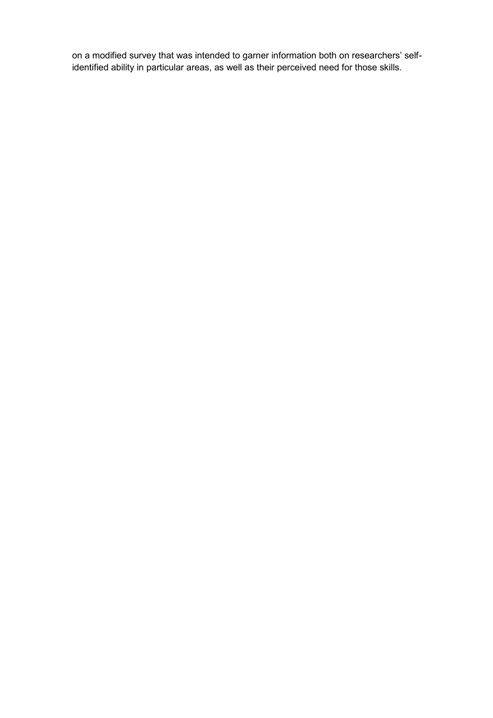on a modified survey that was intended to garner information both on researchers' selfidentified ability in particular areas, as well as their perceived need for those skills.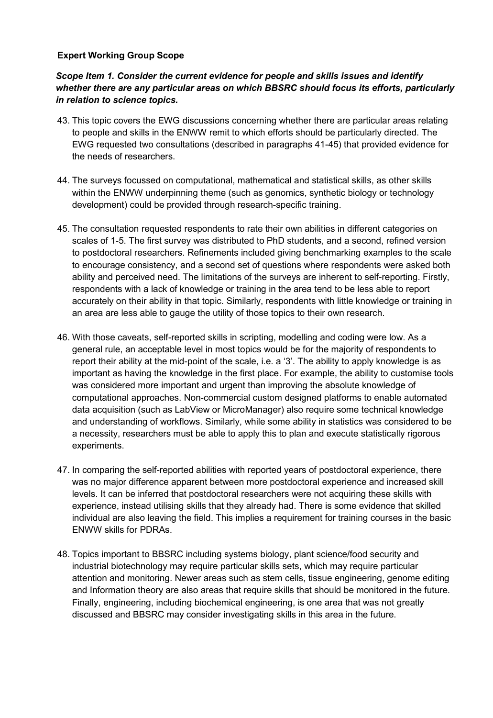#### **Expert Working Group Scope**

## *Scope Item 1. Consider the current evidence for people and skills issues and identify whether there are any particular areas on which BBSRC should focus its efforts, particularly in relation to science topics.*

- 43. This topic covers the EWG discussions concerning whether there are particular areas relating to people and skills in the ENWW remit to which efforts should be particularly directed. The EWG requested two consultations (described in paragraphs 41-45) that provided evidence for the needs of researchers.
- 44. The surveys focussed on computational, mathematical and statistical skills, as other skills within the ENWW underpinning theme (such as genomics, synthetic biology or technology development) could be provided through research-specific training.
- 45. The consultation requested respondents to rate their own abilities in different categories on scales of 1-5. The first survey was distributed to PhD students, and a second, refined version to postdoctoral researchers. Refinements included giving benchmarking examples to the scale to encourage consistency, and a second set of questions where respondents were asked both ability and perceived need. The limitations of the surveys are inherent to self-reporting. Firstly, respondents with a lack of knowledge or training in the area tend to be less able to report accurately on their ability in that topic. Similarly, respondents with little knowledge or training in an area are less able to gauge the utility of those topics to their own research.
- 46. With those caveats, self-reported skills in scripting, modelling and coding were low. As a general rule, an acceptable level in most topics would be for the majority of respondents to report their ability at the mid-point of the scale, i.e. a '3'. The ability to apply knowledge is as important as having the knowledge in the first place. For example, the ability to customise tools was considered more important and urgent than improving the absolute knowledge of computational approaches. Non-commercial custom designed platforms to enable automated data acquisition (such as LabView or MicroManager) also require some technical knowledge and understanding of workflows. Similarly, while some ability in statistics was considered to be a necessity, researchers must be able to apply this to plan and execute statistically rigorous experiments.
- 47. In comparing the self-reported abilities with reported years of postdoctoral experience, there was no major difference apparent between more postdoctoral experience and increased skill levels. It can be inferred that postdoctoral researchers were not acquiring these skills with experience, instead utilising skills that they already had. There is some evidence that skilled individual are also leaving the field. This implies a requirement for training courses in the basic ENWW skills for PDRAs.
- 48. Topics important to BBSRC including systems biology, plant science/food security and industrial biotechnology may require particular skills sets, which may require particular attention and monitoring. Newer areas such as stem cells, tissue engineering, genome editing and Information theory are also areas that require skills that should be monitored in the future. Finally, engineering, including biochemical engineering, is one area that was not greatly discussed and BBSRC may consider investigating skills in this area in the future.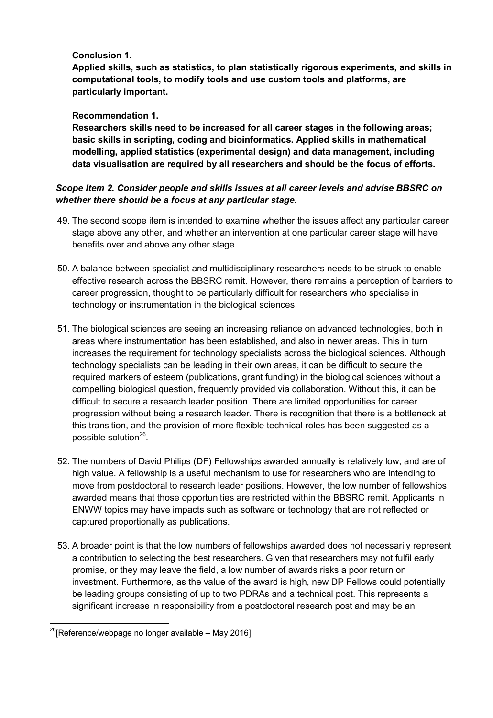# **Conclusion 1.**

**Applied skills, such as statistics, to plan statistically rigorous experiments, and skills in computational tools, to modify tools and use custom tools and platforms, are particularly important.** 

## **Recommendation 1.**

**Researchers skills need to be increased for all career stages in the following areas; basic skills in scripting, coding and bioinformatics. Applied skills in mathematical modelling, applied statistics (experimental design) and data management, including data visualisation are required by all researchers and should be the focus of efforts.** 

## *Scope Item 2. Consider people and skills issues at all career levels and advise BBSRC on whether there should be a focus at any particular stage.*

- 49. The second scope item is intended to examine whether the issues affect any particular career stage above any other, and whether an intervention at one particular career stage will have benefits over and above any other stage
- 50. A balance between specialist and multidisciplinary researchers needs to be struck to enable effective research across the BBSRC remit. However, there remains a perception of barriers to career progression, thought to be particularly difficult for researchers who specialise in technology or instrumentation in the biological sciences.
- 51. The biological sciences are seeing an increasing reliance on advanced technologies, both in areas where instrumentation has been established, and also in newer areas. This in turn increases the requirement for technology specialists across the biological sciences. Although technology specialists can be leading in their own areas, it can be difficult to secure the required markers of esteem (publications, grant funding) in the biological sciences without a compelling biological question, frequently provided via collaboration. Without this, it can be difficult to secure a research leader position. There are limited opportunities for career progression without being a research leader. There is recognition that there is a bottleneck at this transition, and the provision of more flexible technical roles has been suggested as a possible solution $^{26}$ .
- 52. The numbers of David Philips (DF) Fellowships awarded annually is relatively low, and are of high value. A fellowship is a useful mechanism to use for researchers who are intending to move from postdoctoral to research leader positions. However, the low number of fellowships awarded means that those opportunities are restricted within the BBSRC remit. Applicants in ENWW topics may have impacts such as software or technology that are not reflected or captured proportionally as publications.
- 53. A broader point is that the low numbers of fellowships awarded does not necessarily represent a contribution to selecting the best researchers. Given that researchers may not fulfil early promise, or they may leave the field, a low number of awards risks a poor return on investment. Furthermore, as the value of the award is high, new DP Fellows could potentially be leading groups consisting of up to two PDRAs and a technical post. This represents a significant increase in responsibility from a postdoctoral research post and may be an

 $^{26}$ [Reference/webpage no longer available – May 2016]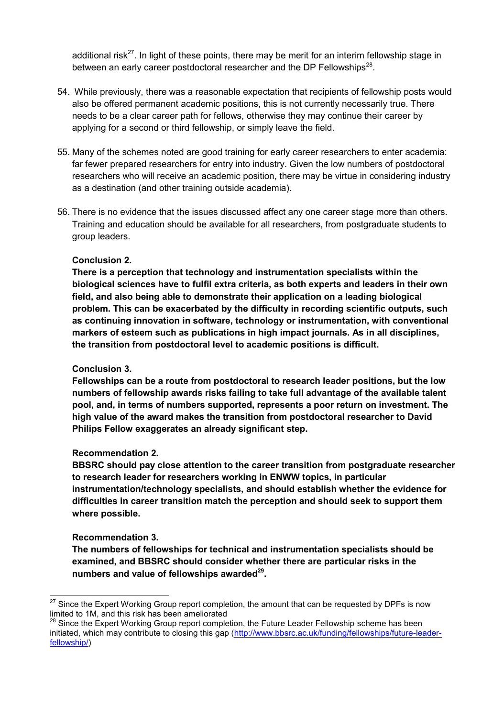additional risk<sup>27</sup>. In light of these points, there may be merit for an interim fellowship stage in between an early career postdoctoral researcher and the DP Fellowships<sup>28</sup>.

- 54. While previously, there was a reasonable expectation that recipients of fellowship posts would also be offered permanent academic positions, this is not currently necessarily true. There needs to be a clear career path for fellows, otherwise they may continue their career by applying for a second or third fellowship, or simply leave the field.
- 55. Many of the schemes noted are good training for early career researchers to enter academia: far fewer prepared researchers for entry into industry. Given the low numbers of postdoctoral researchers who will receive an academic position, there may be virtue in considering industry as a destination (and other training outside academia).
- 56. There is no evidence that the issues discussed affect any one career stage more than others. Training and education should be available for all researchers, from postgraduate students to group leaders.

#### **Conclusion 2.**

**There is a perception that technology and instrumentation specialists within the biological sciences have to fulfil extra criteria, as both experts and leaders in their own field, and also being able to demonstrate their application on a leading biological problem. This can be exacerbated by the difficulty in recording scientific outputs, such as continuing innovation in software, technology or instrumentation, with conventional markers of esteem such as publications in high impact journals. As in all disciplines, the transition from postdoctoral level to academic positions is difficult.** 

#### **Conclusion 3.**

**Fellowships can be a route from postdoctoral to research leader positions, but the low numbers of fellowship awards risks failing to take full advantage of the available talent pool, and, in terms of numbers supported, represents a poor return on investment. The high value of the award makes the transition from postdoctoral researcher to David Philips Fellow exaggerates an already significant step.** 

#### **Recommendation 2.**

**BBSRC should pay close attention to the career transition from postgraduate researcher to research leader for researchers working in ENWW topics, in particular instrumentation/technology specialists, and should establish whether the evidence for difficulties in career transition match the perception and should seek to support them where possible.** 

#### **Recommendation 3.**

 $\overline{a}$ 

**The numbers of fellowships for technical and instrumentation specialists should be examined, and BBSRC should consider whether there are particular risks in the numbers and value of fellowships awarded<sup>29</sup> .** 

 $27$  Since the Expert Working Group report completion, the amount that can be requested by DPFs is now limited to 1M, and this risk has been ameliorated

<sup>&</sup>lt;sup>28</sup> Since the Expert Working Group report completion, the Future Leader Fellowship scheme has been initiated, which may contribute to closing this gap [\(http://www.bbsrc.ac.uk/funding/fellowships/future-leader](http://www.bbsrc.ac.uk/funding/fellowships/future-leader-fellowship/)[fellowship/\)](http://www.bbsrc.ac.uk/funding/fellowships/future-leader-fellowship/)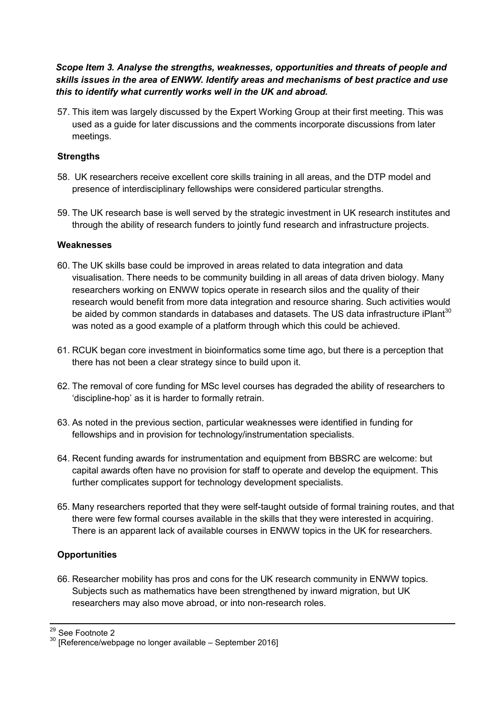*Scope Item 3. Analyse the strengths, weaknesses, opportunities and threats of people and skills issues in the area of ENWW. Identify areas and mechanisms of best practice and use this to identify what currently works well in the UK and abroad.*

57. This item was largely discussed by the Expert Working Group at their first meeting. This was used as a guide for later discussions and the comments incorporate discussions from later meetings.

#### **Strengths**

- 58. UK researchers receive excellent core skills training in all areas, and the DTP model and presence of interdisciplinary fellowships were considered particular strengths.
- 59. The UK research base is well served by the strategic investment in UK research institutes and through the ability of research funders to jointly fund research and infrastructure projects.

#### **Weaknesses**

- 60. The UK skills base could be improved in areas related to data integration and data visualisation. There needs to be community building in all areas of data driven biology. Many researchers working on ENWW topics operate in research silos and the quality of their research would benefit from more data integration and resource sharing. Such activities would be aided by common standards in databases and datasets. The US data infrastructure iPlant<sup>30</sup> was noted as a good example of a platform through which this could be achieved.
- 61. RCUK began core investment in bioinformatics some time ago, but there is a perception that there has not been a clear strategy since to build upon it.
- 62. The removal of core funding for MSc level courses has degraded the ability of researchers to 'discipline-hop' as it is harder to formally retrain.
- 63. As noted in the previous section, particular weaknesses were identified in funding for fellowships and in provision for technology/instrumentation specialists.
- 64. Recent funding awards for instrumentation and equipment from BBSRC are welcome: but capital awards often have no provision for staff to operate and develop the equipment. This further complicates support for technology development specialists.
- 65. Many researchers reported that they were self-taught outside of formal training routes, and that there were few formal courses available in the skills that they were interested in acquiring. There is an apparent lack of available courses in ENWW topics in the UK for researchers.

#### **Opportunities**

66. Researcher mobility has pros and cons for the UK research community in ENWW topics. Subjects such as mathematics have been strengthened by inward migration, but UK researchers may also move abroad, or into non-research roles.

 $\frac{29}{12}$  See Footnote 2

 $30$  [Reference/webpage no longer available – September 2016]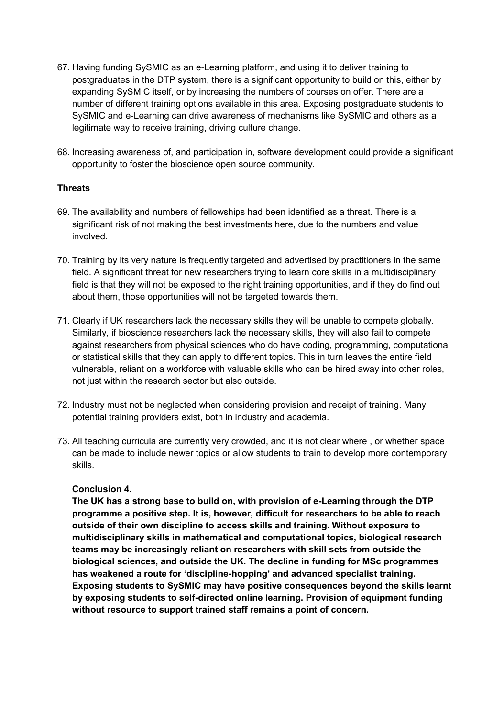- 67. Having funding SySMIC as an e-Learning platform, and using it to deliver training to postgraduates in the DTP system, there is a significant opportunity to build on this, either by expanding SySMIC itself, or by increasing the numbers of courses on offer. There are a number of different training options available in this area. Exposing postgraduate students to SySMIC and e-Learning can drive awareness of mechanisms like SySMIC and others as a legitimate way to receive training, driving culture change.
- 68. Increasing awareness of, and participation in, software development could provide a significant opportunity to foster the bioscience open source community.

#### **Threats**

- 69. The availability and numbers of fellowships had been identified as a threat. There is a significant risk of not making the best investments here, due to the numbers and value involved.
- 70. Training by its very nature is frequently targeted and advertised by practitioners in the same field. A significant threat for new researchers trying to learn core skills in a multidisciplinary field is that they will not be exposed to the right training opportunities, and if they do find out about them, those opportunities will not be targeted towards them.
- 71. Clearly if UK researchers lack the necessary skills they will be unable to compete globally. Similarly, if bioscience researchers lack the necessary skills, they will also fail to compete against researchers from physical sciences who do have coding, programming, computational or statistical skills that they can apply to different topics. This in turn leaves the entire field vulnerable, reliant on a workforce with valuable skills who can be hired away into other roles, not just within the research sector but also outside.
- 72. Industry must not be neglected when considering provision and receipt of training. Many potential training providers exist, both in industry and academia.
- 73. All teaching curricula are currently very crowded, and it is not clear where-, or whether space can be made to include newer topics or allow students to train to develop more contemporary skills.

#### **Conclusion 4.**

**The UK has a strong base to build on, with provision of e-Learning through the DTP programme a positive step. It is, however, difficult for researchers to be able to reach outside of their own discipline to access skills and training. Without exposure to multidisciplinary skills in mathematical and computational topics, biological research teams may be increasingly reliant on researchers with skill sets from outside the biological sciences, and outside the UK. The decline in funding for MSc programmes has weakened a route for 'discipline-hopping' and advanced specialist training. Exposing students to SySMIC may have positive consequences beyond the skills learnt by exposing students to self-directed online learning. Provision of equipment funding without resource to support trained staff remains a point of concern.**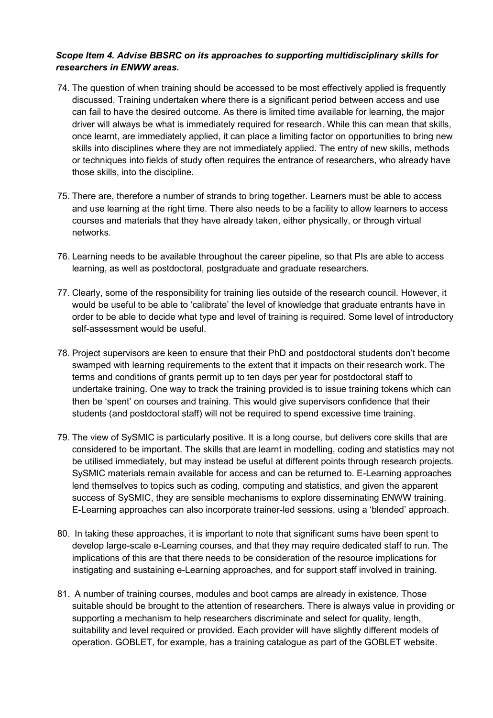#### *Scope Item 4. Advise BBSRC on its approaches to supporting multidisciplinary skills for researchers in ENWW areas.*

- 74. The question of when training should be accessed to be most effectively applied is frequently discussed. Training undertaken where there is a significant period between access and use can fail to have the desired outcome. As there is limited time available for learning, the major driver will always be what is immediately required for research. While this can mean that skills, once learnt, are immediately applied, it can place a limiting factor on opportunities to bring new skills into disciplines where they are not immediately applied. The entry of new skills, methods or techniques into fields of study often requires the entrance of researchers, who already have those skills, into the discipline.
- 75. There are, therefore a number of strands to bring together. Learners must be able to access and use learning at the right time. There also needs to be a facility to allow learners to access courses and materials that they have already taken, either physically, or through virtual networks.
- 76. Learning needs to be available throughout the career pipeline, so that PIs are able to access learning, as well as postdoctoral, postgraduate and graduate researchers.
- 77. Clearly, some of the responsibility for training lies outside of the research council. However, it would be useful to be able to 'calibrate' the level of knowledge that graduate entrants have in order to be able to decide what type and level of training is required. Some level of introductory self-assessment would be useful.
- 78. Project supervisors are keen to ensure that their PhD and postdoctoral students don't become swamped with learning requirements to the extent that it impacts on their research work. The terms and conditions of grants permit up to ten days per year for postdoctoral staff to undertake training. One way to track the training provided is to issue training tokens which can then be 'spent' on courses and training. This would give supervisors confidence that their students (and postdoctoral staff) will not be required to spend excessive time training.
- 79. The view of SySMIC is particularly positive. It is a long course, but delivers core skills that are considered to be important. The skills that are learnt in modelling, coding and statistics may not be utilised immediately, but may instead be useful at different points through research projects. SySMIC materials remain available for access and can be returned to. E-Learning approaches lend themselves to topics such as coding, computing and statistics, and given the apparent success of SySMIC, they are sensible mechanisms to explore disseminating ENWW training. E-Learning approaches can also incorporate trainer-led sessions, using a 'blended' approach.
- 80. In taking these approaches, it is important to note that significant sums have been spent to develop large-scale e-Learning courses, and that they may require dedicated staff to run. The implications of this are that there needs to be consideration of the resource implications for instigating and sustaining e-Learning approaches, and for support staff involved in training.
- 81. A number of training courses, modules and boot camps are already in existence. Those suitable should be brought to the attention of researchers. There is always value in providing or supporting a mechanism to help researchers discriminate and select for quality, length, suitability and level required or provided. Each provider will have slightly different models of operation. GOBLET, for example, has a training catalogue as part of the GOBLET website.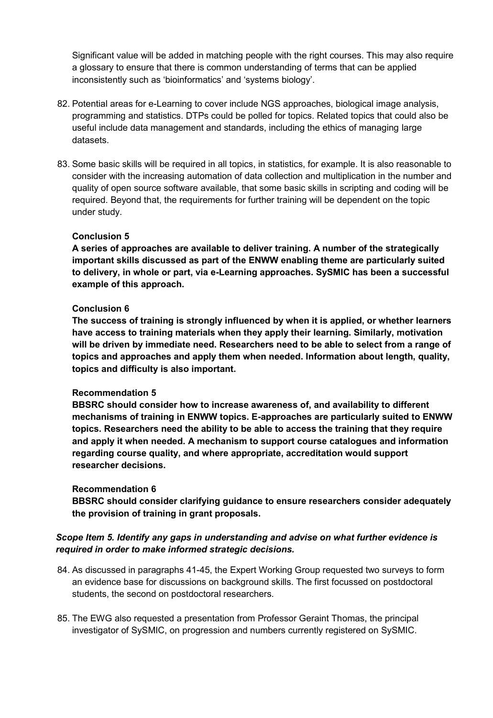Significant value will be added in matching people with the right courses. This may also require a glossary to ensure that there is common understanding of terms that can be applied inconsistently such as 'bioinformatics' and 'systems biology'.

- 82. Potential areas for e-Learning to cover include NGS approaches, biological image analysis, programming and statistics. DTPs could be polled for topics. Related topics that could also be useful include data management and standards, including the ethics of managing large datasets.
- 83. Some basic skills will be required in all topics, in statistics, for example. It is also reasonable to consider with the increasing automation of data collection and multiplication in the number and quality of open source software available, that some basic skills in scripting and coding will be required. Beyond that, the requirements for further training will be dependent on the topic under study.

#### **Conclusion 5**

**A series of approaches are available to deliver training. A number of the strategically important skills discussed as part of the ENWW enabling theme are particularly suited to delivery, in whole or part, via e-Learning approaches. SySMIC has been a successful example of this approach.** 

#### **Conclusion 6**

**The success of training is strongly influenced by when it is applied, or whether learners have access to training materials when they apply their learning. Similarly, motivation will be driven by immediate need. Researchers need to be able to select from a range of topics and approaches and apply them when needed. Information about length, quality, topics and difficulty is also important.** 

#### **Recommendation 5**

**BBSRC should consider how to increase awareness of, and availability to different mechanisms of training in ENWW topics. E-approaches are particularly suited to ENWW topics. Researchers need the ability to be able to access the training that they require and apply it when needed. A mechanism to support course catalogues and information regarding course quality, and where appropriate, accreditation would support researcher decisions.** 

#### **Recommendation 6**

**BBSRC should consider clarifying guidance to ensure researchers consider adequately the provision of training in grant proposals.**

#### *Scope Item 5. Identify any gaps in understanding and advise on what further evidence is required in order to make informed strategic decisions.*

- 84. As discussed in paragraphs 41-45, the Expert Working Group requested two surveys to form an evidence base for discussions on background skills. The first focussed on postdoctoral students, the second on postdoctoral researchers.
- 85. The EWG also requested a presentation from Professor Geraint Thomas, the principal investigator of SySMIC, on progression and numbers currently registered on SySMIC.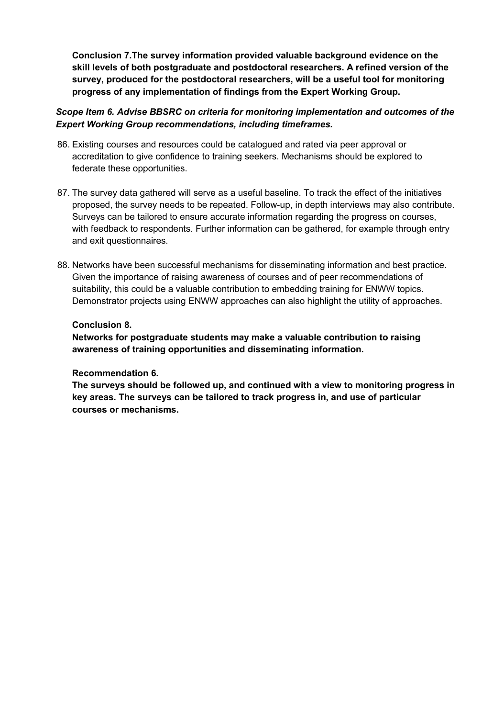**Conclusion 7.The survey information provided valuable background evidence on the skill levels of both postgraduate and postdoctoral researchers. A refined version of the survey, produced for the postdoctoral researchers, will be a useful tool for monitoring progress of any implementation of findings from the Expert Working Group.** 

#### *Scope Item 6. Advise BBSRC on criteria for monitoring implementation and outcomes of the Expert Working Group recommendations, including timeframes.*

- 86. Existing courses and resources could be catalogued and rated via peer approval or accreditation to give confidence to training seekers. Mechanisms should be explored to federate these opportunities.
- 87. The survey data gathered will serve as a useful baseline. To track the effect of the initiatives proposed, the survey needs to be repeated. Follow-up, in depth interviews may also contribute. Surveys can be tailored to ensure accurate information regarding the progress on courses, with feedback to respondents. Further information can be gathered, for example through entry and exit questionnaires.
- 88. Networks have been successful mechanisms for disseminating information and best practice. Given the importance of raising awareness of courses and of peer recommendations of suitability, this could be a valuable contribution to embedding training for ENWW topics. Demonstrator projects using ENWW approaches can also highlight the utility of approaches.

#### **Conclusion 8.**

**Networks for postgraduate students may make a valuable contribution to raising awareness of training opportunities and disseminating information.** 

#### **Recommendation 6.**

**The surveys should be followed up, and continued with a view to monitoring progress in key areas. The surveys can be tailored to track progress in, and use of particular courses or mechanisms.**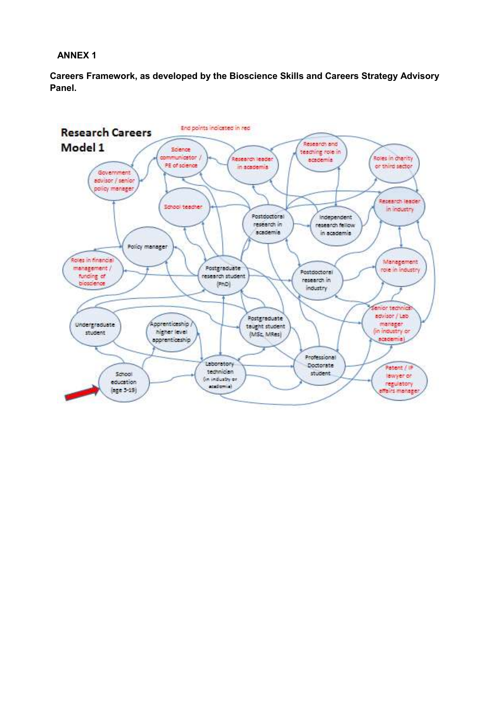#### **ANNEX 1**

**Careers Framework, as developed by the Bioscience Skills and Careers Strategy Advisory Panel.** 

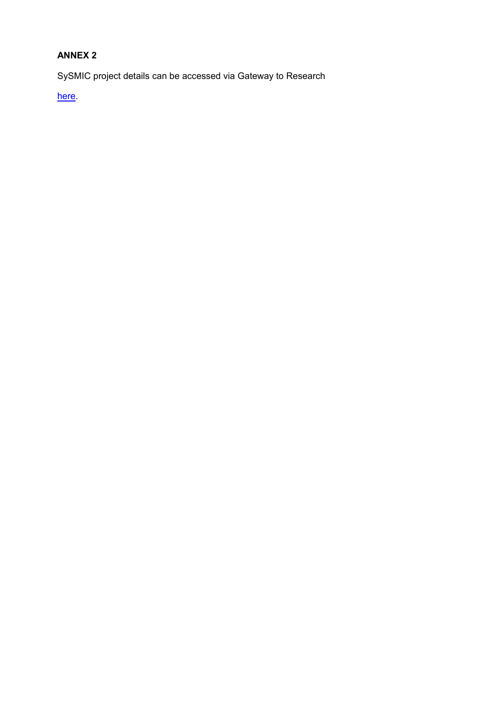# **ANNEX 2**

SySMIC project details can be accessed via Gateway to Research

here.